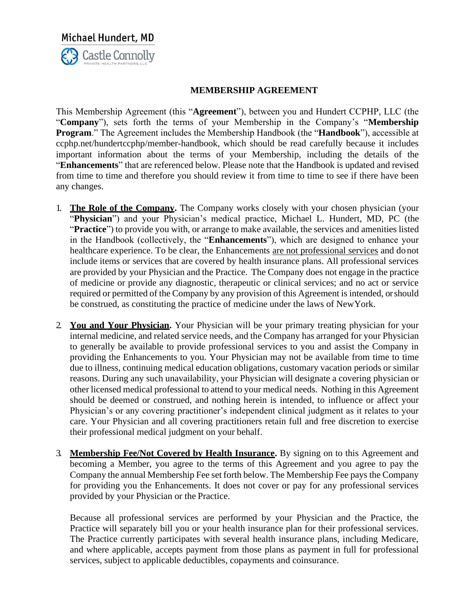Michael Hundert, MD **Castle Connolly** 

#### **MEMBERSHIP AGREEMENT**

This Membership Agreement (this "**Agreement**"), between you and Hundert CCPHP, LLC (the "**Company**"), sets forth the terms of your Membership in the Company's "**Membership Program**." The Agreement includes the Membership Handbook (the "**Handbook**"), accessible at ccphp.net/hundertccphp/member-handbook, which should be read carefully because it includes important information about the terms of your Membership, including the details of the "**Enhancements**" that are referenced below. Please note that the Handbook is updated and revised from time to time and therefore you should review it from time to time to see if there have been any changes.

- 1. **The Role of the Company.** The Company works closely with your chosen physician (your "**Physician**") and your Physician's medical practice, Michael L. Hundert, MD, PC (the "Practice") to provide you with, or arrange to make available, the services and amenities listed in the Handbook (collectively, the "**Enhancements**"), which are designed to enhance your healthcare experience. To be clear, the Enhancements are not professional services and do not include items or services that are covered by health insurance plans. All professional services are provided by your Physician and the Practice. The Company does not engage in the practice of medicine or provide any diagnostic, therapeutic or clinical services; and no act or service required or permitted of the Company by any provision of this Agreement is intended, or should be construed, as constituting the practice of medicine under the laws of NewYork.
- 2. **You and Your Physician.** Your Physician will be your primary treating physician for your internal medicine, and related service needs, and the Company has arranged for your Physician to generally be available to provide professional services to you and assist the Company in providing the Enhancements to you. Your Physician may not be available from time to time due to illness, continuing medical education obligations, customary vacation periods or similar reasons. During any such unavailability, your Physician will designate a covering physician or other licensed medical professional to attend to your medical needs. Nothing in this Agreement should be deemed or construed, and nothing herein is intended, to influence or affect your Physician's or any covering practitioner's independent clinical judgment as it relates to your care. Your Physician and all covering practitioners retain full and free discretion to exercise their professional medical judgment on your behalf.
- 3. **Membership Fee/Not Covered by Health Insurance.** By signing on to this Agreement and becoming a Member, you agree to the terms of this Agreement and you agree to pay the Company the annual Membership Fee set forth below. The Membership Fee pays the Company for providing you the Enhancements. It does not cover or pay for any professional services provided by your Physician or the Practice.

Because all professional services are performed by your Physician and the Practice, the Practice will separately bill you or your health insurance plan for their professional services. The Practice currently participates with several health insurance plans, including Medicare, and where applicable, accepts payment from those plans as payment in full for professional services, subject to applicable deductibles, copayments and coinsurance.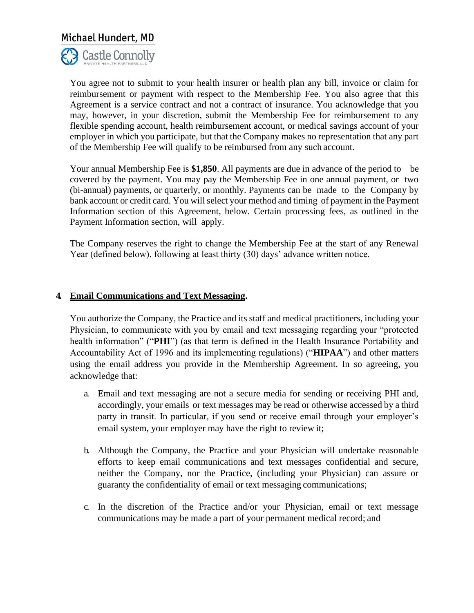

You agree not to submit to your health insurer or health plan any bill, invoice or claim for reimbursement or payment with respect to the Membership Fee. You also agree that this Agreement is a service contract and not a contract of insurance. You acknowledge that you may, however, in your discretion, submit the Membership Fee for reimbursement to any flexible spending account, health reimbursement account, or medical savings account of your employer in which you participate, but that the Company makes no representation that any part of the Membership Fee will qualify to be reimbursed from any such account.

Your annual Membership Fee is **\$1,850**. All payments are due in advance of the period to be covered by the payment. You may pay the Membership Fee in one annual payment, or two (bi-annual) payments, or quarterly, or monthly. Payments can be made to the Company by bank account or credit card. You will select your method and timing of payment in the Payment Information section of this Agreement, below. Certain processing fees, as outlined in the Payment Information section, will apply.

The Company reserves the right to change the Membership Fee at the start of any Renewal Year (defined below), following at least thirty (30) days' advance written notice.

#### **4. Email Communications and Text Messaging.**

You authorize the Company, the Practice and its staff and medical practitioners, including your Physician, to communicate with you by email and text messaging regarding your "protected health information" ("**PHI**") (as that term is defined in the Health Insurance Portability and Accountability Act of 1996 and its implementing regulations) ("**HIPAA**") and other matters using the email address you provide in the Membership Agreement. In so agreeing, you acknowledge that:

- a. Email and text messaging are not a secure media for sending or receiving PHI and, accordingly, your emails or text messages may be read or otherwise accessed by a third party in transit. In particular, if you send or receive email through your employer's email system, your employer may have the right to review it;
- b. Although the Company, the Practice and your Physician will undertake reasonable efforts to keep email communications and text messages confidential and secure, neither the Company, nor the Practice, (including your Physician) can assure or guaranty the confidentiality of email or text messaging communications;
- c. In the discretion of the Practice and/or your Physician, email or text message communications may be made a part of your permanent medical record; and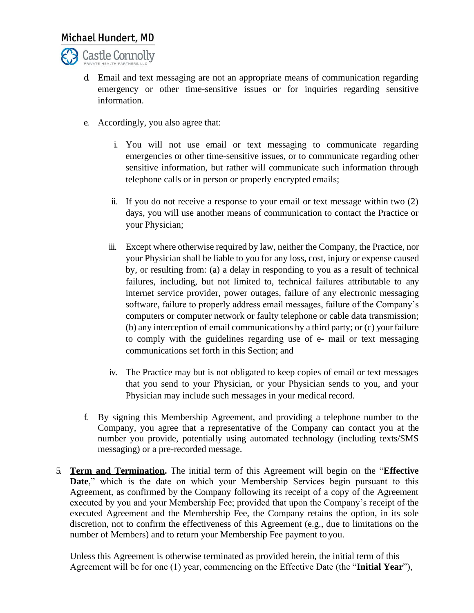

- d. Email and text messaging are not an appropriate means of communication regarding emergency or other time-sensitive issues or for inquiries regarding sensitive information.
- e. Accordingly, you also agree that:
	- i. You will not use email or text messaging to communicate regarding emergencies or other time-sensitive issues, or to communicate regarding other sensitive information, but rather will communicate such information through telephone calls or in person or properly encrypted emails;
	- ii. If you do not receive a response to your email or text message within two (2) days, you will use another means of communication to contact the Practice or your Physician;
	- iii. Except where otherwise required by law, neither the Company, the Practice, nor your Physician shall be liable to you for any loss, cost, injury or expense caused by, or resulting from: (a) a delay in responding to you as a result of technical failures, including, but not limited to, technical failures attributable to any internet service provider, power outages, failure of any electronic messaging software, failure to properly address email messages, failure of the Company's computers or computer network or faulty telephone or cable data transmission; (b) any interception of email communications by a third party; or (c) your failure to comply with the guidelines regarding use of e- mail or text messaging communications set forth in this Section; and
	- iv. The Practice may but is not obligated to keep copies of email or text messages that you send to your Physician, or your Physician sends to you, and your Physician may include such messages in your medical record.
- f. By signing this Membership Agreement, and providing a telephone number to the Company, you agree that a representative of the Company can contact you at the number you provide, potentially using automated technology (including texts/SMS messaging) or a pre-recorded message.
- 5. **Term and Termination.** The initial term of this Agreement will begin on the "**Effective Date**," which is the date on which your Membership Services begin pursuant to this Agreement, as confirmed by the Company following its receipt of a copy of the Agreement executed by you and your Membership Fee; provided that upon the Company's receipt of the executed Agreement and the Membership Fee, the Company retains the option, in its sole discretion, not to confirm the effectiveness of this Agreement (e.g., due to limitations on the number of Members) and to return your Membership Fee payment to you.

Unless this Agreement is otherwise terminated as provided herein, the initial term of this Agreement will be for one (1) year, commencing on the Effective Date (the "**Initial Year**"),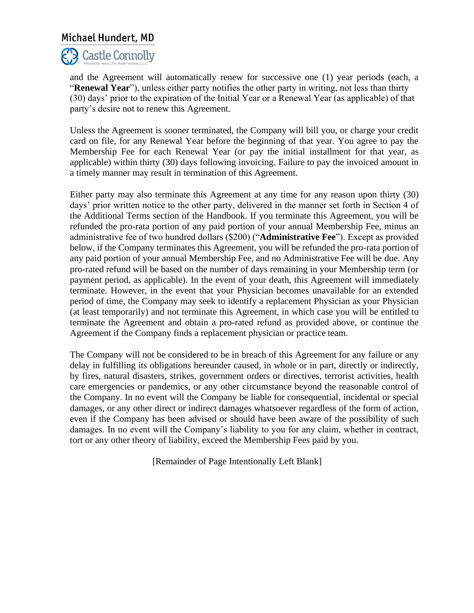

and the Agreement will automatically renew for successive one (1) year periods (each, a "**Renewal Year**"), unless either party notifies the other party in writing, not less than thirty (30) days' prior to the expiration of the Initial Year or a Renewal Year (as applicable) of that party's desire not to renew this Agreement.

Unless the Agreement is sooner terminated, the Company will bill you, or charge your credit card on file, for any Renewal Year before the beginning of that year. You agree to pay the Membership Fee for each Renewal Year (or pay the initial installment for that year, as applicable) within thirty (30) days following invoicing. Failure to pay the invoiced amount in a timely manner may result in termination of this Agreement.

Either party may also terminate this Agreement at any time for any reason upon thirty (30) days' prior written notice to the other party, delivered in the manner set forth in Section 4 of the Additional Terms section of the Handbook. If you terminate this Agreement, you will be refunded the pro-rata portion of any paid portion of your annual Membership Fee, minus an administrative fee of two hundred dollars (\$200) ("**Administrative Fee**"). Except as provided below, if the Company terminates this Agreement, you will be refunded the pro-rata portion of any paid portion of your annual Membership Fee, and no Administrative Fee will be due. Any pro-rated refund will be based on the number of days remaining in your Membership term (or payment period, as applicable). In the event of your death, this Agreement will immediately terminate. However, in the event that your Physician becomes unavailable for an extended period of time, the Company may seek to identify a replacement Physician as your Physician (at least temporarily) and not terminate this Agreement, in which case you will be entitled to terminate the Agreement and obtain a pro-rated refund as provided above, or continue the Agreement if the Company finds a replacement physician or practice team.

The Company will not be considered to be in breach of this Agreement for any failure or any delay in fulfilling its obligations hereunder caused, in whole or in part, directly or indirectly, by fires, natural disasters, strikes, government orders or directives, terrorist activities, health care emergencies or pandemics, or any other circumstance beyond the reasonable control of the Company. In no event will the Company be liable for consequential, incidental or special damages, or any other direct or indirect damages whatsoever regardless of the form of action, even if the Company has been advised or should have been aware of the possibility of such damages. In no event will the Company's liability to you for any claim, whether in contract, tort or any other theory of liability, exceed the Membership Fees paid by you.

[Remainder of Page Intentionally Left Blank]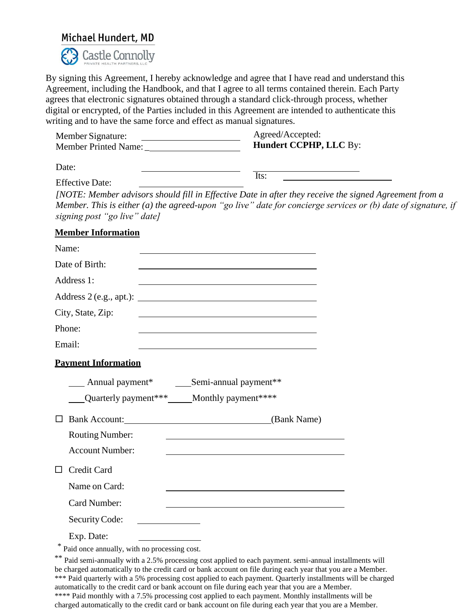

By signing this Agreement, I hereby acknowledge and agree that I have read and understand this Agreement, including the Handbook, and that I agree to all terms contained therein. Each Party agrees that electronic signatures obtained through a standard click-through process, whether digital or encrypted, of the Parties included in this Agreement are intended to authenticate this writing and to have the same force and effect as manual signatures.

| Member Signature:                                      | Agreed/Accepted:                                                                                                                                                                                                                |
|--------------------------------------------------------|---------------------------------------------------------------------------------------------------------------------------------------------------------------------------------------------------------------------------------|
|                                                        | Hundert CCPHP, LLC By:                                                                                                                                                                                                          |
| Date:                                                  |                                                                                                                                                                                                                                 |
| <b>Effective Date:</b><br>signing post "go live" date] | Its:<br>[NOTE: Member advisors should fill in Effective Date in after they receive the signed Agreement from a<br>Member. This is either (a) the agreed-upon "go live" date for concierge services or (b) date of signature, if |
| <b>Member Information</b>                              |                                                                                                                                                                                                                                 |
| Name:                                                  |                                                                                                                                                                                                                                 |
| Date of Birth:                                         |                                                                                                                                                                                                                                 |
| Address 1:                                             |                                                                                                                                                                                                                                 |
|                                                        |                                                                                                                                                                                                                                 |
| City, State, Zip:                                      |                                                                                                                                                                                                                                 |
| Phone:                                                 |                                                                                                                                                                                                                                 |
| Email:                                                 |                                                                                                                                                                                                                                 |
| <b>Payment Information</b>                             |                                                                                                                                                                                                                                 |
|                                                        |                                                                                                                                                                                                                                 |
| Quarterly payment*** _____ Monthly payment****         |                                                                                                                                                                                                                                 |
| Bank Account: (Bank Name)<br>$\Box$                    |                                                                                                                                                                                                                                 |
| <b>Routing Number:</b>                                 | <u> 1989 - Johann Barbara, martxa alemaniar amerikan a</u>                                                                                                                                                                      |
| <b>Account Number:</b>                                 |                                                                                                                                                                                                                                 |
| Credit Card                                            |                                                                                                                                                                                                                                 |
| Name on Card:                                          |                                                                                                                                                                                                                                 |
| Card Number:                                           |                                                                                                                                                                                                                                 |
| Security Code:                                         |                                                                                                                                                                                                                                 |
| Exp. Date:                                             |                                                                                                                                                                                                                                 |
| $\frac{1}{2}$                                          |                                                                                                                                                                                                                                 |

Paid once annually, with no processing cost.

\*\* Paid semi-annually with a 2.5% processing cost applied to each payment. semi-annual installments will be charged automatically to the credit card or bank account on file during each year that you are a Member. \*\*\* Paid quarterly with a 5% processing cost applied to each payment. Quarterly installments will be charged automatically to the credit card or bank account on file during each year that you are a Member. \*\*\*\* Paid monthly with a 7.5% processing cost applied to each payment. Monthly installments will be charged automatically to the credit card or bank account on file during each year that you are a Member.